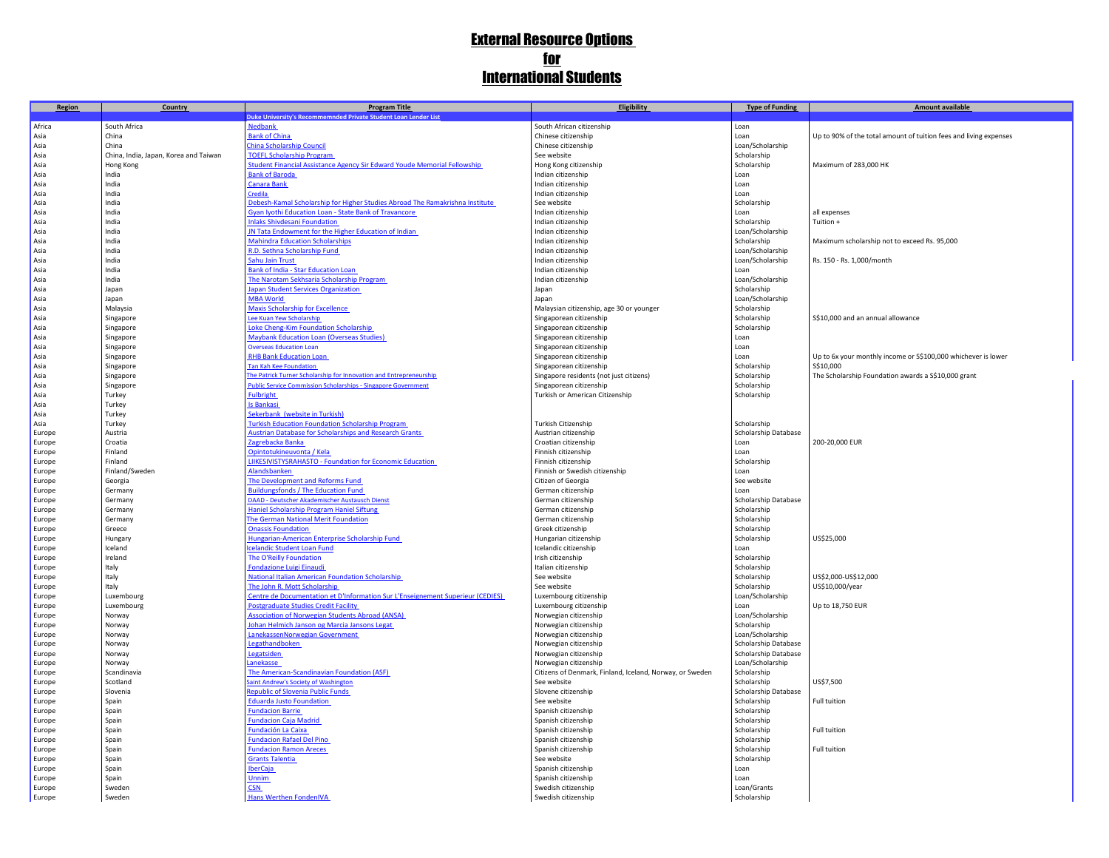## External Resource Options for International Students

| Region           | Country                               | <b>Program Title</b>                                                                                                                      | Eligibility                                                        | <b>Type of Funding</b>     | <b>Amount available</b>                                           |
|------------------|---------------------------------------|-------------------------------------------------------------------------------------------------------------------------------------------|--------------------------------------------------------------------|----------------------------|-------------------------------------------------------------------|
|                  |                                       | uke University's Recommemnded Private Student Loan Lender List                                                                            |                                                                    |                            |                                                                   |
| Africa           | South Africa                          | <b>Nedbank</b>                                                                                                                            | South African citizenship                                          | Loan                       |                                                                   |
| Asia             | China                                 | <b>Bank of China</b>                                                                                                                      | Chinese citizenship                                                | Loan                       | Up to 90% of the total amount of tuition fees and living expenses |
| Asia             | China                                 | China Scholarship Council                                                                                                                 | Chinese citizenship                                                | Loan/Scholarship           |                                                                   |
| Asia             | China, India, Japan, Korea and Taiwan | <b>TOEFL Scholarship Program</b>                                                                                                          | See website                                                        | Scholarship                |                                                                   |
| Asia             | Hong Kong                             | Student Financial Assistance Agency Sir Edward Youde Memorial Fellowship                                                                  | Hong Kong citizenship                                              | Scholarship                | Maximum of 283,000 HK                                             |
| Asia             | India                                 | <b>Bank of Baroda</b>                                                                                                                     | Indian citizenship                                                 | Loan                       |                                                                   |
| Asia<br>Asia     | India<br>India                        | Canara Bank<br>`redila                                                                                                                    | Indian citizenship<br>Indian citizenship                           | Loan<br>Loan               |                                                                   |
| Asia             | India                                 | Debesh-Kamal Scholarship for Higher Studies Abroad The Ramakrishna Institute                                                              | See website                                                        | Scholarship                |                                                                   |
| Asia             | India                                 | Gyan Iyothi Education Loan - State Bank of Travancore                                                                                     | Indian citizenship                                                 | Loan                       | all expenses                                                      |
| Asia             | India                                 | nlaks Shivdesani Foundation                                                                                                               | Indian citizenship                                                 | Scholarship                | Tuition +                                                         |
| Asia             | India                                 | <b>IN Tata Endowment for the Higher Education of Indian</b>                                                                               | Indian citizenship                                                 | Loan/Scholarship           |                                                                   |
| Asia             | India                                 | <b>Mahindra Education Scholarships</b>                                                                                                    | Indian citizenship                                                 | Scholarship                | Maximum scholarship not to exceed Rs. 95,000                      |
| Asia             | India                                 | R.D. Sethna Scholarship Fund                                                                                                              | Indian citizenship                                                 | Loan/Scholarship           |                                                                   |
| Asia             | India                                 | Sahu Jain Trust                                                                                                                           | Indian citizenship                                                 | Loan/Scholarship           | Rs. 150 - Rs. 1,000/month                                         |
| Asia             | India                                 | Bank of India - Star Education Loan                                                                                                       | Indian citizenship                                                 | Loan                       |                                                                   |
| Asia             | India                                 | The Narotam Sekhsaria Scholarship Program                                                                                                 | Indian citizenship                                                 | Loan/Scholarship           |                                                                   |
| Asia             | Japan                                 | Japan Student Services Organization                                                                                                       | Japan                                                              | Scholarship                |                                                                   |
| Asia             | Japan                                 | <b>MBA World</b>                                                                                                                          | Japan                                                              | Loan/Scholarship           |                                                                   |
| Asia             | Malaysia                              | <b>Maxis Scholarship for Excellence</b>                                                                                                   | Malaysian citizenship, age 30 or younger                           | Scholarship                |                                                                   |
| Asia             | Singapore                             | ee Kuan Yew Scholarship                                                                                                                   | Singaporean citizenship                                            | Scholarship                | S\$10,000 and an annual allowance                                 |
| Asia             | Singapore                             | Loke Cheng-Kim Foundation Scholarship                                                                                                     | Singaporean citizenship                                            | Scholarship                |                                                                   |
| Asia             | Singapore                             | <b>Maybank Education Loan (Overseas Studies)</b>                                                                                          | Singaporean citizenship                                            | Loan                       |                                                                   |
| Asia             | Singapore                             | <b>Overseas Education Loan</b>                                                                                                            | Singaporean citizenship                                            | Loan                       |                                                                   |
| Asia             | Singapore                             | <b>RHB Bank Education Loan</b>                                                                                                            | Singaporean citizenship                                            | Loan                       | Up to 6x your monthly income or S\$100,000 whichever is lower     |
| Asia             | Singapore                             | <b>Tan Kah Kee Foundation</b>                                                                                                             | Singaporean citizenship                                            | Scholarship                | \$\$10,000                                                        |
| Asia<br>Asia     | Singapore                             | The Patrick Turner Scholarship for Innovation and Entrepreneurship<br><b>Public Service Commission Scholarships - Singapore Governmen</b> | Singapore residents (not just citizens)<br>Singaporean citizenship | Scholarship<br>Scholarship | The Scholarship Foundation awards a S\$10,000 grant               |
| Asia             | Singapore<br>Turkey                   | <b>Fulbright</b>                                                                                                                          | Turkish or American Citizenship                                    | Scholarship                |                                                                   |
| Asia             | Turkey                                | s Bankasi                                                                                                                                 |                                                                    |                            |                                                                   |
| Asia             | Turkey                                | Sekerbank (website in Turkish)                                                                                                            |                                                                    |                            |                                                                   |
| Asia             | Turkey                                | <b>Turkish Education Foundation Scholarship Program</b>                                                                                   | Turkish Citizenship                                                | Scholarship                |                                                                   |
| Europe           | Austria                               | <b>Austrian Database for Scholarships and Research Grants</b>                                                                             | Austrian citizenship                                               | Scholarship Database       |                                                                   |
| Europe           | Croatia                               | Zagrebacka Banka                                                                                                                          | Croatian citizenship                                               | Loan                       | 200-20,000 EUR                                                    |
| Europe           | Finland                               | Opintotukineuvonta / Kela                                                                                                                 | Finnish citizenship                                                | Loan                       |                                                                   |
| Europe           | Finland                               | <b>LIIKESIVISTYSRAHASTO - Foundation for Economic Education</b>                                                                           | Finnish citizenship                                                | Scholarship                |                                                                   |
| Europe           | Finland/Sweden                        | Alandsbanken                                                                                                                              | Finnish or Swedish citizenship                                     | Loan                       |                                                                   |
| Europe           | Georgia                               | The Development and Reforms Fund                                                                                                          | Citizen of Georgia                                                 | See website                |                                                                   |
| Europe           | Germany                               | <b>Buildungsfonds / The Education Fund</b>                                                                                                | German citizenship                                                 | Loan                       |                                                                   |
| Europe           | Germany                               | DAAD - Deutscher Akademischer Austausch Dienst                                                                                            | German citizenship                                                 | Scholarship Database       |                                                                   |
| Europe           | Germany                               | <b>Haniel Scholarship Program Haniel Siftung</b>                                                                                          | German citizenship                                                 | Scholarship                |                                                                   |
| Europe           | Germany                               | The German National Merit Foundation                                                                                                      | German citizenship                                                 | Scholarship                |                                                                   |
| Europe           | Greece                                | <b>Onassis Foundation</b>                                                                                                                 | Greek citizenship                                                  | Scholarship                |                                                                   |
| Europe           | Hungary                               | Hungarian-American Enterprise Scholarship Fund                                                                                            | Hungarian citizenship                                              | Scholarship                | US\$25,000                                                        |
| Europe           | Iceland                               | elandic Student Loan Fund                                                                                                                 | Icelandic citizenship                                              | Loan<br>Scholarship        |                                                                   |
| Europe           | Ireland<br>Italy                      | The O'Reilly Foundation                                                                                                                   | Irish citizenship<br>Italian citizenship                           | Scholarship                |                                                                   |
| Europe<br>Europe | Italy                                 | Fondazione Luigi Einaudi<br><b>National Italian American Foundation Scholarship</b>                                                       | See website                                                        | Scholarship                | US\$2,000-US\$12,000                                              |
| Europe           | Italy                                 | The John R. Mott Scholarship                                                                                                              | See website                                                        | Scholarship                | US\$10,000/yea                                                    |
| Europe           | Luxembourg                            | Centre de Documentation et D'Information Sur L'Enseignement Superieur (CEDIES)                                                            | Luxembourg citizenship                                             | Loan/Scholarship           |                                                                   |
| Europe           | Luxembourg                            | <b>Postgraduate Studies Credit Facility</b>                                                                                               | Luxembourg citizenship                                             | Loan                       | Up to 18,750 EUR                                                  |
| Europe           | Norway                                | <b>Association of Norwegian Students Abroad (ANSA)</b>                                                                                    | Norwegian citizenship                                              | Loan/Scholarship           |                                                                   |
| Europe           | Norway                                | Iohan Helmich Janson og Marcia Jansons Legat                                                                                              | Norwegian citizenship                                              | Scholarship                |                                                                   |
| Europe           | Norway                                | anekassenNorwegian Government                                                                                                             | Norwegian citizenship                                              | Loan/Scholarship           |                                                                   |
| Europe           | Norway                                | egathandboken                                                                                                                             | Norwegian citizenship                                              | Scholarship Database       |                                                                   |
| Europe           | Norway                                | Legatsiden                                                                                                                                | Norwegian citizenship                                              | Scholarship Database       |                                                                   |
| Europe           | Norway                                | anekasse                                                                                                                                  | Norwegian citizenship                                              | Loan/Scholarship           |                                                                   |
| Europe           | Scandinavia                           | The American-Scandinavian Foundation (ASF)                                                                                                | Citizens of Denmark, Finland, Iceland, Norway, or Sweden           | Scholarship                |                                                                   |
| Europe           | Scotland                              | aint Andrew's Society of Washington                                                                                                       | See website                                                        | Scholarship                | US\$7,500                                                         |
| Europe           | Slovenia                              | epublic of Slovenia Public Funds                                                                                                          | Slovene citizenship                                                | Scholarship Database       |                                                                   |
| Europe           | Spain                                 | <b>Eduarda Justo Foundation</b>                                                                                                           | See website                                                        | Scholarship                | Full tuition                                                      |
| Europe           | Spain                                 | <b>Fundacion Barrie</b>                                                                                                                   | Spanish citizenship                                                | Scholarship                |                                                                   |
| Europe           | Spain                                 | <b>Fundacion Caja Madrid</b><br><b>Fundación La Caixa</b>                                                                                 | Spanish citizenship<br>Spanish citizenship                         | Scholarship<br>Scholarship | Full tuition                                                      |
| Europe<br>Europe | Spain<br>Spain                        | <b>Fundacion Rafael Del Pino</b>                                                                                                          | Spanish citizenship                                                | Scholarship                |                                                                   |
| Europe           | Spain                                 | <b>Fundacion Ramon Areces</b>                                                                                                             | Spanish citizenship                                                | Scholarship                | <b>Full tuition</b>                                               |
| Europe           | Spain                                 | <b>Grants Talentia</b>                                                                                                                    | See website                                                        | Scholarship                |                                                                   |
| Europe           | Spain                                 | berCaja                                                                                                                                   | Spanish citizenship                                                | Loan                       |                                                                   |
| Europe           | Spain                                 | Unnim                                                                                                                                     | Spanish citizenship                                                | Loan                       |                                                                   |
| Europe           | Sweden                                | <b>CSN</b>                                                                                                                                | Swedish citizenship                                                | Loan/Grants                |                                                                   |
| Europe           | Sweden                                | Hans Werthen FondenIVA                                                                                                                    | Swedish citizenship                                                | Scholarship                |                                                                   |